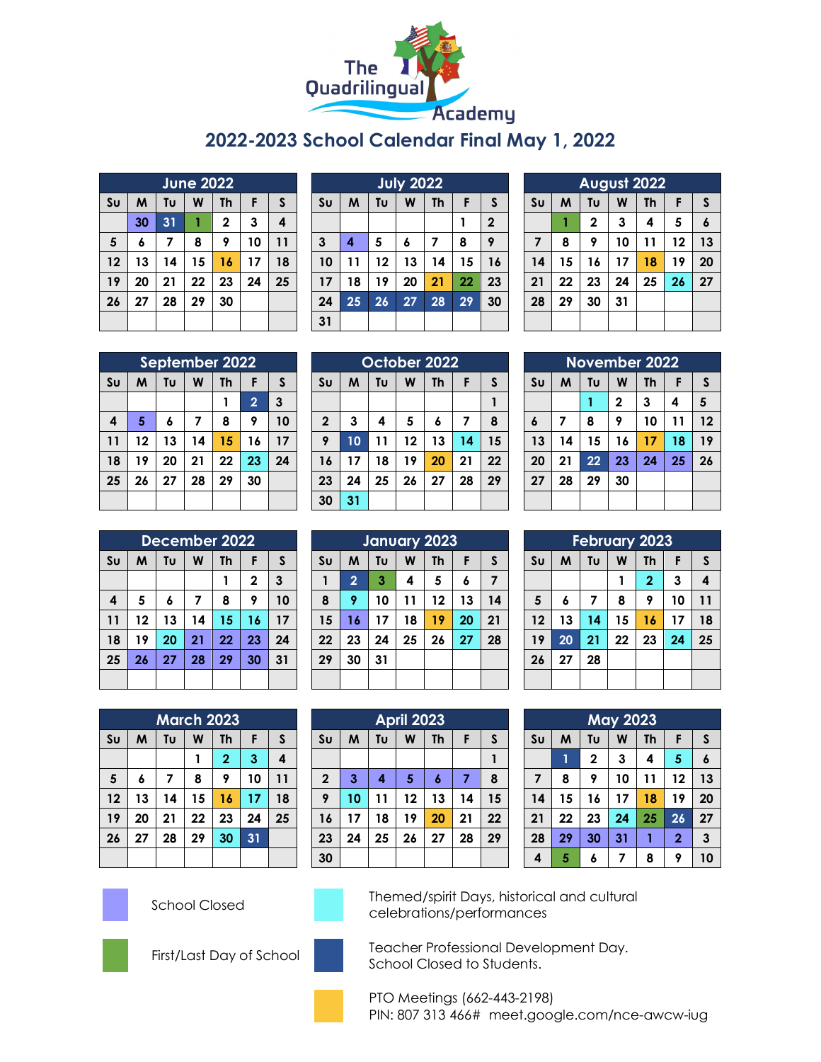

## **2022-2023 School Calendar Final May 1, 2022**

| June 2022      |    |    |    |             |    |    |  |
|----------------|----|----|----|-------------|----|----|--|
| S <sub>U</sub> | M  | Tυ | W  | <b>Th</b>   | F  | S  |  |
|                | 30 | 31 |    | $\mathbf 2$ | 3  | 4  |  |
| 5              | 6  | 7  | 8  | 9           | 10 | 11 |  |
| 12             | 13 | 14 | 15 | 16          | 17 | 18 |  |
| 19             | 20 | 21 | 22 | 23          | 24 | 25 |  |
| 26             | 27 | 28 | 29 | 30          |    |    |  |
|                |    |    |    |             |    |    |  |

|                | <b>July 2022</b> |                                           |    |    |    |             |  |  |
|----------------|------------------|-------------------------------------------|----|----|----|-------------|--|--|
| S <sub>U</sub> | M                | Tυ<br><b>Th</b><br>W<br>$\mathsf{s}$<br>F |    |    |    |             |  |  |
|                |                  |                                           |    |    |    | $\mathbf 2$ |  |  |
| $\mathbf{3}$   | 4                | 5                                         | 6  | 7  | 8  | 9           |  |  |
| 10             | 11               | 12                                        | 13 | 14 | 15 | 16          |  |  |
| 17             | 18               | 19                                        | 20 | 21 | 22 | 23          |  |  |
| 24             | 25               | 26                                        | 27 | 28 | 29 | 30          |  |  |
| 31             |                  |                                           |    |    |    |             |  |  |

| August 2022    |                                     |             |    |    |    |                  |  |  |
|----------------|-------------------------------------|-------------|----|----|----|------------------|--|--|
| S <sub>U</sub> | Tυ<br>W<br>F<br>M<br><b>Th</b><br>S |             |    |    |    |                  |  |  |
|                |                                     | $\mathbf 2$ | 3  | 4  | 5  | $\boldsymbol{6}$ |  |  |
| 7              | 8                                   | 9           | 10 | 11 | 12 | 13               |  |  |
| 14             | 15                                  | 16          | 17 | 18 | 19 | 20               |  |  |
| 21             | 22                                  | 23          | 24 | 25 | 26 | 27               |  |  |
| 28             | 29                                  | 30          | 31 |    |    |                  |  |  |
|                |                                     |             |    |    |    |                  |  |  |

|                | September 2022 |    |    |           |                |              |  |  |
|----------------|----------------|----|----|-----------|----------------|--------------|--|--|
| S <sub>U</sub> | M              | Tυ | W  | <b>Th</b> | F              | $\mathsf{s}$ |  |  |
|                |                |    |    |           | $\overline{2}$ | 3            |  |  |
| 4              | 5              | 6  | 7  | 8         | 9              | 10           |  |  |
| 11             | 12             | 13 | 14 | 15        | 16             | 17           |  |  |
| 18             | 19             | 20 | 21 | 22        | 23             | 24           |  |  |
| 25             | 26             | 27 | 28 | 29        | 30             |              |  |  |
|                |                |    |    |           |                |              |  |  |

| October 2022   |    |    |    |           |    |              |  |
|----------------|----|----|----|-----------|----|--------------|--|
| S <sub>U</sub> | M  | Tu | W  | <b>Th</b> | F  | $\mathsf{s}$ |  |
|                |    |    |    |           |    |              |  |
| $\mathbf 2$    | 3  | 4  | 5  | 6         | 7  | 8            |  |
| 9              | 10 | 11 | 12 | 13        | 14 | 15           |  |
| 16             | 17 | 18 | 19 | 20        | 21 | 22           |  |
| 23             | 24 | 25 | 26 | 27        | 28 | 29           |  |
| 30             | 31 |    |    |           |    |              |  |

| <b>November 2022</b> |                |    |              |           |    |              |  |
|----------------------|----------------|----|--------------|-----------|----|--------------|--|
| S <sub>U</sub>       | M              | Tυ | W            | <b>Th</b> | F  | $\mathsf{s}$ |  |
|                      |                |    | $\mathbf{2}$ | 3         | 4  | 5            |  |
| 6                    | $\overline{ }$ | 8  | 9            | 10        | 11 | 12           |  |
| 13                   | 14             | 15 | 16           | 17        | 18 | 19           |  |
| 20                   | 21             | 22 | 23           | 24        | 25 | 26           |  |
| 27                   | 28             | 29 | 30           |           |    |              |  |
|                      |                |    |              |           |    |              |  |

|                | December 2022 |    |    |           |              |    |  |  |
|----------------|---------------|----|----|-----------|--------------|----|--|--|
| S <sub>U</sub> | M             | Tυ | W  | <b>Th</b> | F            | S  |  |  |
|                |               |    |    |           | $\mathbf{2}$ | 3  |  |  |
| 4              | 5             | 6  | 7  | 8         | 9            | 10 |  |  |
| 11             | 12            | 13 | 14 | 15        | 16           | 17 |  |  |
| 18             | 19            | 20 | 21 | 22        | 23           | 24 |  |  |
| 25             | 26            | 27 | 28 | 29        | 30           | 31 |  |  |
|                |               |    |    |           |              |    |  |  |

| January 2023   |                |    |    |           |    |    |  |  |
|----------------|----------------|----|----|-----------|----|----|--|--|
| S <sub>U</sub> | M              | Tυ | W  | <b>Th</b> | F  | S  |  |  |
|                | $\overline{2}$ | 3  | 4  | 5         | 6  | 7  |  |  |
| 8              | 9              | 10 | 11 | 12        | 13 | 14 |  |  |
| 15             | 16             | 17 | 18 | 19        | 20 | 21 |  |  |
| 22             | 23             | 24 | 25 | 26        | 27 | 28 |  |  |
| 29             | 30             | 31 |    |           |    |    |  |  |
|                |                |    |    |           |    |    |  |  |

| <b>February 2023</b>   |    |    |    |                |    |              |  |  |
|------------------------|----|----|----|----------------|----|--------------|--|--|
| $\mathsf{S}\mathsf{u}$ | M  | Tυ | W  | <b>Th</b>      | F  | $\mathsf{s}$ |  |  |
|                        |    |    |    | $\overline{2}$ | 3  | 4            |  |  |
| $5\phantom{a}$         | 6  | 7  | 8  | 9              | 10 | 11           |  |  |
| 12                     | 13 | 14 | 15 | 16             | 17 | 18           |  |  |
| 19                     | 20 | 21 | 22 | 23             | 24 | 25           |  |  |
| 26                     | 27 | 28 |    |                |    |              |  |  |
|                        |    |    |    |                |    |              |  |  |

|                        | <b>March 2023</b>              |    |    |              |    |    |  |  |
|------------------------|--------------------------------|----|----|--------------|----|----|--|--|
| $\mathsf{S}\mathsf{u}$ | Tυ<br>M<br>F<br>W<br><b>Th</b> |    |    |              |    |    |  |  |
|                        |                                |    | 1  | $\mathbf{2}$ | 3  | 4  |  |  |
| 5                      | 6                              | 7  | 8  | 9            | 10 | 11 |  |  |
| 12                     | 13                             | 14 | 15 | 16           | 17 | 18 |  |  |
| 19                     | 20                             | 21 | 22 | 23           | 24 | 25 |  |  |
| 26                     | 27                             | 28 | 29 | 30           | 31 |    |  |  |
|                        |                                |    |    |              |    |    |  |  |

|                | <b>April 2023</b> |    |    |           |    |              |  |  |
|----------------|-------------------|----|----|-----------|----|--------------|--|--|
| S <sub>U</sub> | M                 | Tu | W  | <b>Th</b> | F  | $\mathsf{s}$ |  |  |
|                |                   |    |    |           |    |              |  |  |
| $\overline{2}$ | 3                 | 4  | 5  | 6         | 7  | 8            |  |  |
| 9              | 10                | 11 | 12 | 13        | 14 | 15           |  |  |
| 16             | 17                | 18 | 19 | 20        | 21 | 22           |  |  |
| 23             | 24                | 25 | 26 | 27        | 28 | 29           |  |  |
| 30             |                   |    |    |           |    |              |  |  |

| <b>May 2023</b> |    |             |    |           |                |              |  |  |
|-----------------|----|-------------|----|-----------|----------------|--------------|--|--|
| S <sub>U</sub>  | M  | Tu          | W  | <b>Th</b> | F              | $\mathsf{s}$ |  |  |
|                 |    | $\mathbf 2$ | 3  | 4         | 5              | 6            |  |  |
| $\overline{7}$  | 8  | 9           | 10 | 11        | 12             | 13           |  |  |
| 14              | 15 | 16          | 17 | 18        | 19             | 20           |  |  |
| 21              | 22 | 23          | 24 | 25        | 26             | 27           |  |  |
| 28              | 29 | 30          | 31 |           | $\overline{2}$ | 3            |  |  |
| 4               | 5  | 6           | 7  | 8         | 9              | 10           |  |  |





School Closed Themed/spirit Days, historical and cultural celebrations/performances





First/Last Day of School Teacher Professional Development Day. School Closed to Students.

> PTO Meetings (662-443-2198) PIN: 807 313 466# meet.google.com/nce-awcw-iug